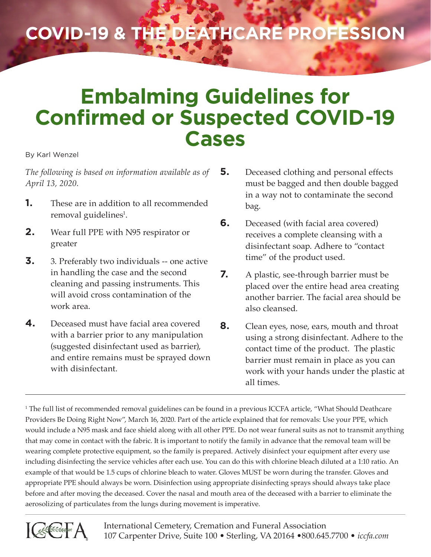## **COVID-19 & the Deathcare Profession**

## **Embalming Guidelines for Confirmed or Suspected COVID-19 Cases**

By Karl Wenzel

*The following is based on information available as of April 13, 2020.*

- **1.** These are in addition to all recommended removal guidelines<sup>1</sup>.
- **2.** Wear full PPE with N95 respirator or greater
- **3.** 3. Preferably two individuals -- one active in handling the case and the second cleaning and passing instruments. This will avoid cross contamination of the work area.
- **4.** Deceased must have facial area covered with a barrier prior to any manipulation (suggested disinfectant used as barrier), and entire remains must be sprayed down with disinfectant.
- **5.** Deceased clothing and personal effects must be bagged and then double bagged in a way not to contaminate the second bag.
- **6.** Deceased (with facial area covered) receives a complete cleansing with a disinfectant soap. Adhere to "contact time" of the product used.
- **7.** A plastic, see-through barrier must be placed over the entire head area creating another barrier. The facial area should be also cleansed.
- **8.** Clean eyes, nose, ears, mouth and throat using a strong disinfectant. Adhere to the contact time of the product. The plastic barrier must remain in place as you can work with your hands under the plastic at all times.

1 The full list of recommended removal guidelines can be found in a previous ICCFA article, "What Should Deathcare Providers Be Doing Right Now", March 16, 2020. Part of the article explained that for removals: Use your PPE, which would include a N95 mask and face shield along with all other PPE. Do not wear funeral suits as not to transmit anything that may come in contact with the fabric. It is important to notify the family in advance that the removal team will be wearing complete protective equipment, so the family is prepared. Actively disinfect your equipment after every use including disinfecting the service vehicles after each use. You can do this with chlorine bleach diluted at a 1:10 ratio. An example of that would be 1.5 cups of chlorine bleach to water. Gloves MUST be worn during the transfer. Gloves and appropriate PPE should always be worn. Disinfection using appropriate disinfecting sprays should always take place before and after moving the deceased. Cover the nasal and mouth area of the deceased with a barrier to eliminate the aerosolizing of particulates from the lungs during movement is imperative.

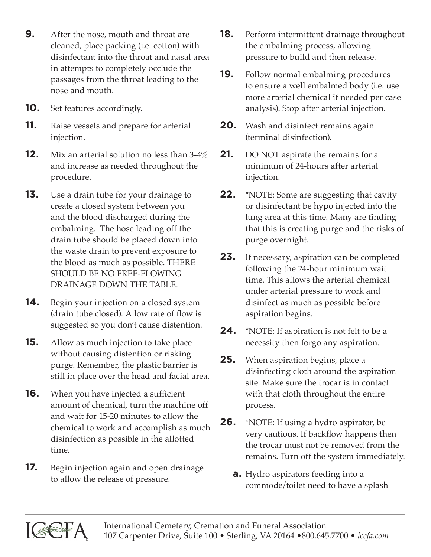- **9.** After the nose, mouth and throat are cleaned, place packing (i.e. cotton) with disinfectant into the throat and nasal area in attempts to completely occlude the passages from the throat leading to the nose and mouth.
- **10.** Set features accordingly.
- **11.** Raise vessels and prepare for arterial injection.
- **12.** Mix an arterial solution no less than 3-4% and increase as needed throughout the procedure.
- **13.** Use a drain tube for your drainage to create a closed system between you and the blood discharged during the embalming. The hose leading off the drain tube should be placed down into the waste drain to prevent exposure to the blood as much as possible. THERE SHOULD BE NO FREE-FLOWING DRAINAGE DOWN THE TABLE.
- **14.** Begin your injection on a closed system (drain tube closed). A low rate of flow is suggested so you don't cause distention.
- **15.** Allow as much injection to take place without causing distention or risking purge. Remember, the plastic barrier is still in place over the head and facial area.
- **16.** When you have injected a sufficient amount of chemical, turn the machine off and wait for 15-20 minutes to allow the chemical to work and accomplish as much disinfection as possible in the allotted time.
- **17.** Begin injection again and open drainage to allow the release of pressure.
- **18.** Perform intermittent drainage throughout the embalming process, allowing pressure to build and then release.
- **19.** Follow normal embalming procedures to ensure a well embalmed body (i.e. use more arterial chemical if needed per case analysis). Stop after arterial injection.
- **20.** Wash and disinfect remains again (terminal disinfection).
- **21.** DO NOT aspirate the remains for a minimum of 24-hours after arterial injection.
- **22.** \*NOTE: Some are suggesting that cavity or disinfectant be hypo injected into the lung area at this time. Many are finding that this is creating purge and the risks of purge overnight.
- **23.** If necessary, aspiration can be completed following the 24-hour minimum wait time. This allows the arterial chemical under arterial pressure to work and disinfect as much as possible before aspiration begins.
- **24.** \*NOTE: If aspiration is not felt to be a necessity then forgo any aspiration.
- **25.** When aspiration begins, place a disinfecting cloth around the aspiration site. Make sure the trocar is in contact with that cloth throughout the entire process.
- **26.** \*NOTE: If using a hydro aspirator, be very cautious. If backflow happens then the trocar must not be removed from the remains. Turn off the system immediately.
	- **a.** Hydro aspirators feeding into a commode/toilet need to have a splash